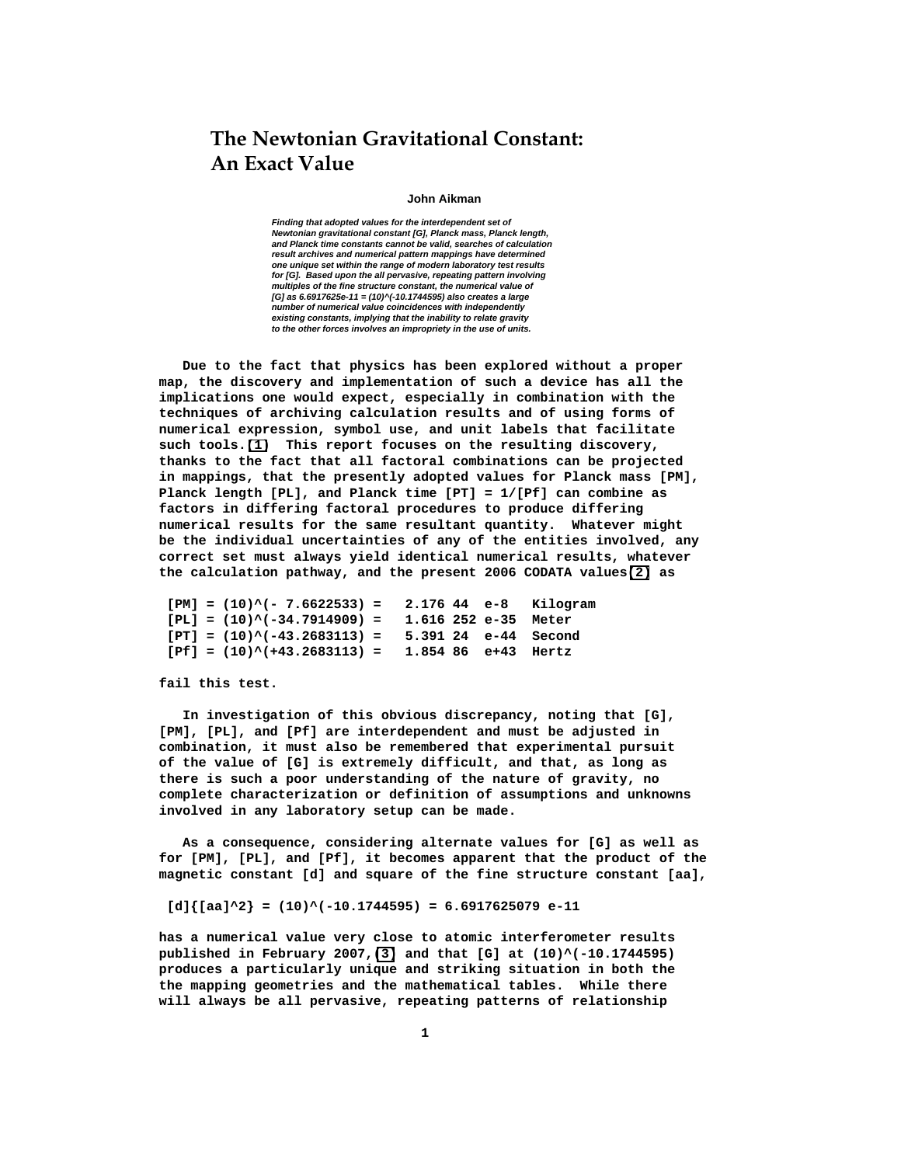# **The Newtonian Gravitational Constant: An Exact Value**

## **John Aikman**

 **Finding that adopted values for the interdependent set of Newtonian gravitational constant [G], Planck mass, Planck length, and Planck time constants cannot be valid, searches of calculation result archives and numerical pattern mappings have determined one unique set within the range of modern laboratory test results for [G]. Based upon the all pervasive, repeating pattern involving multiples of the fine structure constant, the numerical value of [G] as 6.6917625e-11 = (10)^(-10.1744595) also creates a large number of numerical value coincidences with independently existing constants, implying that the inability to relate gravity to the other forces involves an impropriety in the use of units.** 

 **Due to the fact that physics has been explored without a proper map, the discovery and implementation of such a device has all the implications one would expect, especially in combination with the techniques of archiving calculation results and of using forms of numerical expression, symbol use, and unit labels that facilitate such tools.[\(1\)](#page-8-0) This report focuses on the resulting discovery, thanks to the fact that all factoral combinations can be projected in mappings, that the presently adopted values for Planck mass [PM], Planck length [PL], and Planck time [PT] = 1/[Pf] can combine as factors in differing factoral procedures to produce differing numerical results for the same resultant quantity. Whatever might be the individual uncertainties of any of the entities involved, any correct set must always yield identical numerical results, whatever the calculation pathway, and the present 2006 CODATA values[\(2\)](#page-8-0) as** 

```
 [PM] = (10)^(- 7.6622533) = 2.176 44 e-8 Kilogram 
 [PL] = (10)^(-34.7914909) = 1.616 252 e-35 Meter 
 [PT] = (10)^(-43.2683113) = 5.391 24 e-44 Second 
 [Pf] = (10)^(+43.2683113) = 1.854 86 e+43 Hertz
```
**fail this test.** 

 **In investigation of this obvious discrepancy, noting that [G], [PM], [PL], and [Pf] are interdependent and must be adjusted in combination, it must also be remembered that experimental pursuit of the value of [G] is extremely difficult, and that, as long as there is such a poor understanding of the nature of gravity, no complete characterization or definition of assumptions and unknowns involved in any laboratory setup can be made.** 

 **As a consequence, considering alternate values for [G] as well as for [PM], [PL], and [Pf], it becomes apparent that the product of the magnetic constant [d] and square of the fine structure constant [aa],** 

 $[d]{[aa]^2} = (10)^(-10.1744595) = 6.6917625079 e-11$ 

**has a numerical value very close to atomic interferometer results published in February 2007,[\(3\)](#page-8-0) and that [G] at (10)^(-10.1744595) produces a particularly unique and striking situation in both the the mapping geometries and the mathematical tables. While there will always be all pervasive, repeating patterns of relationship**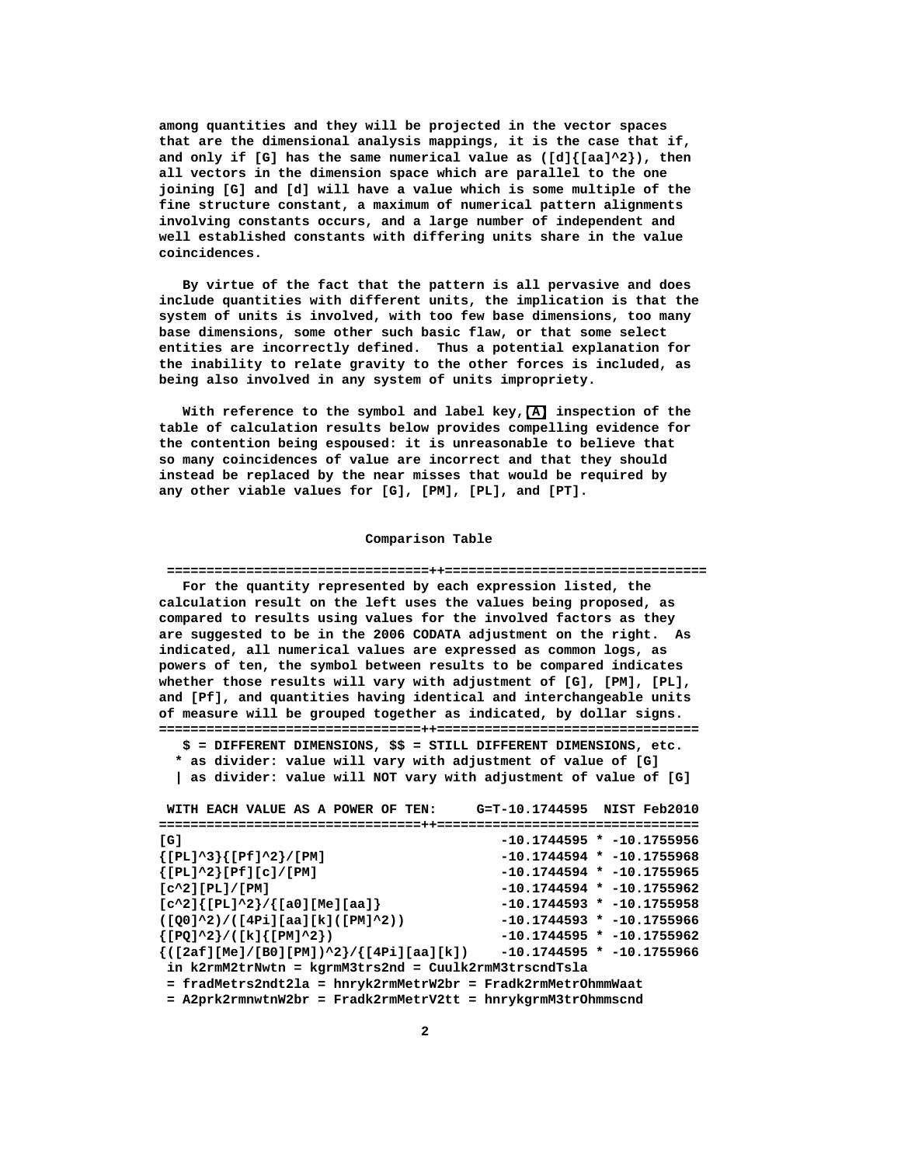**among quantities and they will be projected in the vector spaces that are the dimensional analysis mappings, it is the case that if, and only if [G] has the same numerical value as ([d]{[aa]^2}), then all vectors in the dimension space which are parallel to the one joining [G] and [d] will have a value which is some multiple of the fine structure constant, a maximum of numerical pattern alignments involving constants occurs, and a large number of independent and well established constants with differing units share in the value coincidences.** 

 **By virtue of the fact that the pattern is all pervasive and does include quantities with different units, the implication is that the system of units is involved, with too few base dimensions, too many base dimensions, some other such basic flaw, or that some select entities are incorrectly defined. Thus a potential explanation for the inability to relate gravity to the other forces is included, as being also involved in any system of units impropriety.** 

 **With reference to the symbol and label key,[\(A\)](#page-7-0) inspection of the table of calculation results below provides compelling evidence for the contention being espoused: it is unreasonable to believe that so many coincidences of value are incorrect and that they should instead be replaced by the near misses that would be required by any other viable values for [G], [PM], [PL], and [PT].** 

### **Comparison Table**

#### **=================================++=================================**

 **For the quantity represented by each expression listed, the calculation result on the left uses the values being proposed, as compared to results using values for the involved factors as they are suggested to be in the 2006 CODATA adjustment on the right. As indicated, all numerical values are expressed as common logs, as powers of ten, the symbol between results to be compared indicates whether those results will vary with adjustment of [G], [PM], [PL], and [Pf], and quantities having identical and interchangeable units of measure will be grouped together as indicated, by dollar signs. =================================++=================================** 

 **\$ = DIFFERENT DIMENSIONS, \$\$ = STILL DIFFERENT DIMENSIONS, etc. \* as divider: value will vary with adjustment of value of [G]** 

 **| as divider: value will NOT vary with adjustment of value of [G]** 

 **WITH EACH VALUE AS A POWER OF TEN: G=T-10.1744595 NIST Feb2010 =================================++================================= [G] -10.1744595 \* -10.1755956 {[PL]^3}{[Pf]^2}/[PM] -10.1744594 \* -10.1755968 {[PL]^2}[Pf][c]/[PM] -10.1744594 \* -10.1755965 [c^2][PL]/[PM] -10.1744594 \* -10.1755962 [c^2]{[PL]^2}/{[a0][Me][aa]} -10.1744593 \* -10.1755958 ([Q0]^2)/([4Pi][aa][k]([PM]^2)) -10.1744593 \* -10.1755966 {[PQ]^2}/([k]{[PM]^2}) -10.1744595 \* -10.1755962 {([2af][Me]/[B0][PM])^2}/{[4Pi][aa][k]) -10.1744595 \* -10.1755966 in k2rmM2trNwtn = kgrmM3trs2nd = Cuulk2rmM3trscndTsla = fradMetrs2ndt2la = hnryk2rmMetrW2br = Fradk2rmMetrOhmmWaat = A2prk2rmnwtnW2br = Fradk2rmMetrV2tt = hnrykgrmM3trOhmmscnd**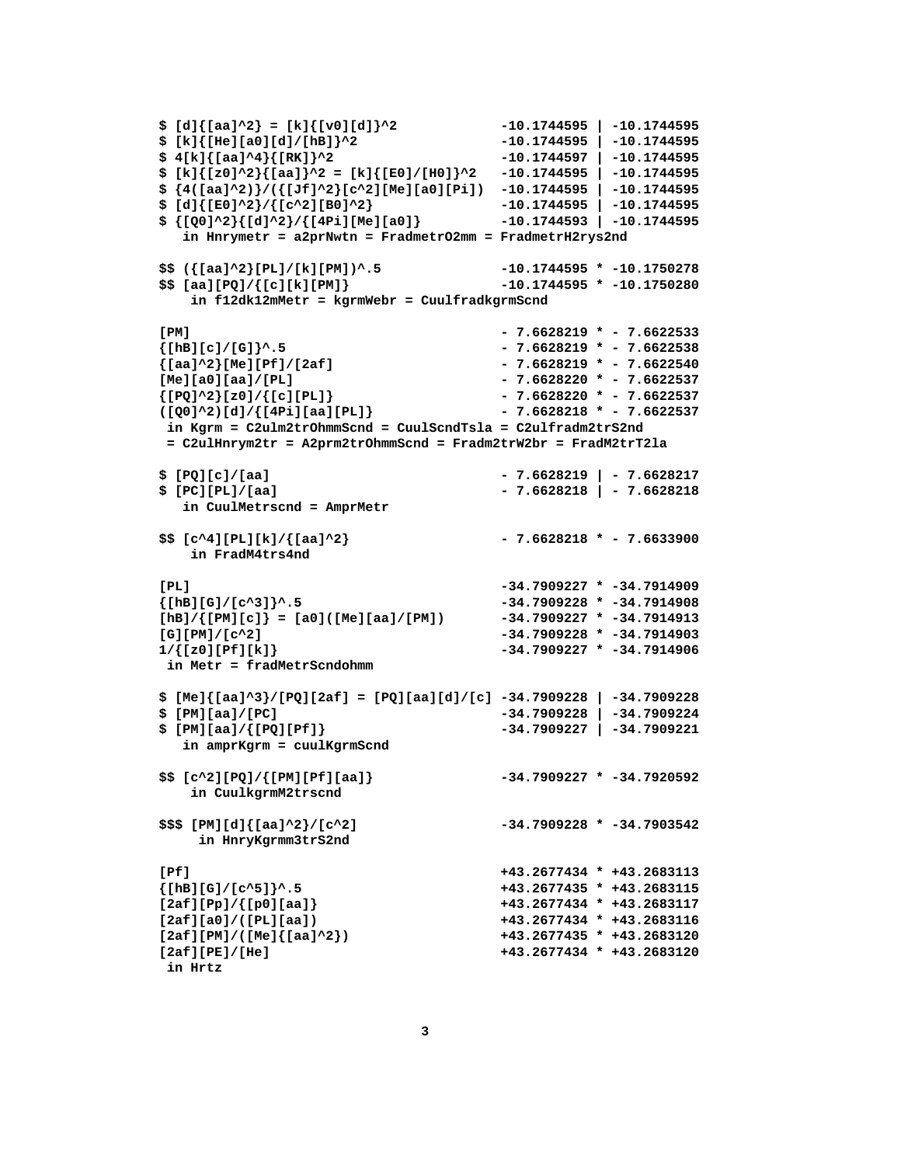```
$ [d]{[aa]^2} = [k]{[v0][d]}^2 -10.1744595 | -10.1744595 [ -10.1744595 ] -10.1744595 [ -10.1744595 ]$ [k]{[He][a0][d]/[hB]}^2 -10.1744595 | -10.1744595 
$ 4[k]{[aa]^4}{[RK]}^2 -10.1744597 | -10.1744595 
$ [k]{[z0]^2}{[aa]}^2 = [k]{[E0]/[H0]}^2 -10.1744595 | -10.1744595 
$ {4([aa]^2)}/({[Jf]^2}[c^2][Me][a0][Pi]) -10.1744595 | -10.1744595 
$ [d]{[E0]^2}/{[c^2][B0]^2} -10.1744595 | -10.1744595 
$ {[Q0]^2}{[d]^2}/{[4Pi][Me][a0]} -10.1744593 | -10.1744595 
   in Hnrymetr = a2prNwtn = FradmetrO2mm = FradmetrH2rys2nd 
$$ ({[aa]^2}[PL]/[k][PM])^.5 -10.1744595 * -10.1750278 
$$ [aa][PQ]/{[c][k][PM]} -10.1744595 * -10.1750280 
    in f12dk12mMetr = kgrmWebr = CuulfradkgrmScnd 
[PM] - 7.6628219 * - 7.6622533 
{[\text{hB}][\text{c}]/[\text{G}]}\text{^*}.5 - 7.6628219 * - 7.6622538
{[aa]^2}[Me][Pf]/[2af] - 7.6628219 * - 7.6622540 
[Me][a0][aa]/[PL] - 7.6628220 * - 7.6622537 
\{[PQ]^2\}_z[z0]/\{[c][PL]\} - 7.6628220 * - 7.6622537
([Q0]^2)[d]/{[4Pi][aa][PL]} - 7.6628218 * - 7.6622537 
 in Kgrm = C2ulm2trOhmmScnd = CuulScndTsla = C2ulfradm2trS2nd 
 = C2ulHnrym2tr = A2prm2trOhmmScnd = Fradm2trW2br = FradM2trT2la 
$ [PQ][c]/[aa] - 7.6628219 | - 7.6628217 
$ [PC][PL]/[aa] - 7.6628218 | - 7.6628218 
   in CuulMetrscnd = AmprMetr 
$$ [c^4][PL][k]/{[aa]^2} - 7.6628218 * - 7.6633900 
    in FradM4trs4nd 
[PL] -34.7909227 * -34.7914909 
{[hB][G]/[c^3]}^.5 -34.7909228 * -34.7914908 
[hB]/{[PM][c]} = [a0]([Me][aa]/[PM]) -34.7909227 * -34.7914913 
[G][PM]/[c^2] -34.7909228 * -34.7914903 
1/{[z0][Pf][k]} -34.7909227 * -34.7914906 
 in Metr = fradMetrScndohmm 
$ [Me]{[aa]^3}/[PQ][2af] = [PQ][aa][d]/[c] -34.7909228 | -34.7909228 
$ [PM][aa]/[PC] -34.7909228 | -34.7909224 
$ [PM][aa]/{[PQ][Pf]} -34.7909227 | -34.7909221 
   in amprKgrm = cuulKgrmScnd 
$$ [c^2][PQ]/{[PM][Pf][aa]} -34.7909227 * -34.7920592 
    in CuulkgrmM2trscnd 
$$$ [PM][d]{[aa]^2}/[c^2] -34.7909228 * -34.7903542 
     in HnryKgrmm3trS2nd 
[Pf] +43.2677434 * +43.2683113 
{[hB][G]/[c^5]}^.5 +43.2677435 * +43.2683115 
[2af][Pp]/{[p0][aa]} +43.2677434 * +43.2683117 
[2af][a0]/([PL][aa]) +43.2677434 * +43.2683116 
[2af][PM]/([Me]{[aa]^2}) +43.2677435 * +43.2683120 
[2af][PE]/[He] +43.2677434 * +43.2683120 
 in Hrtz
```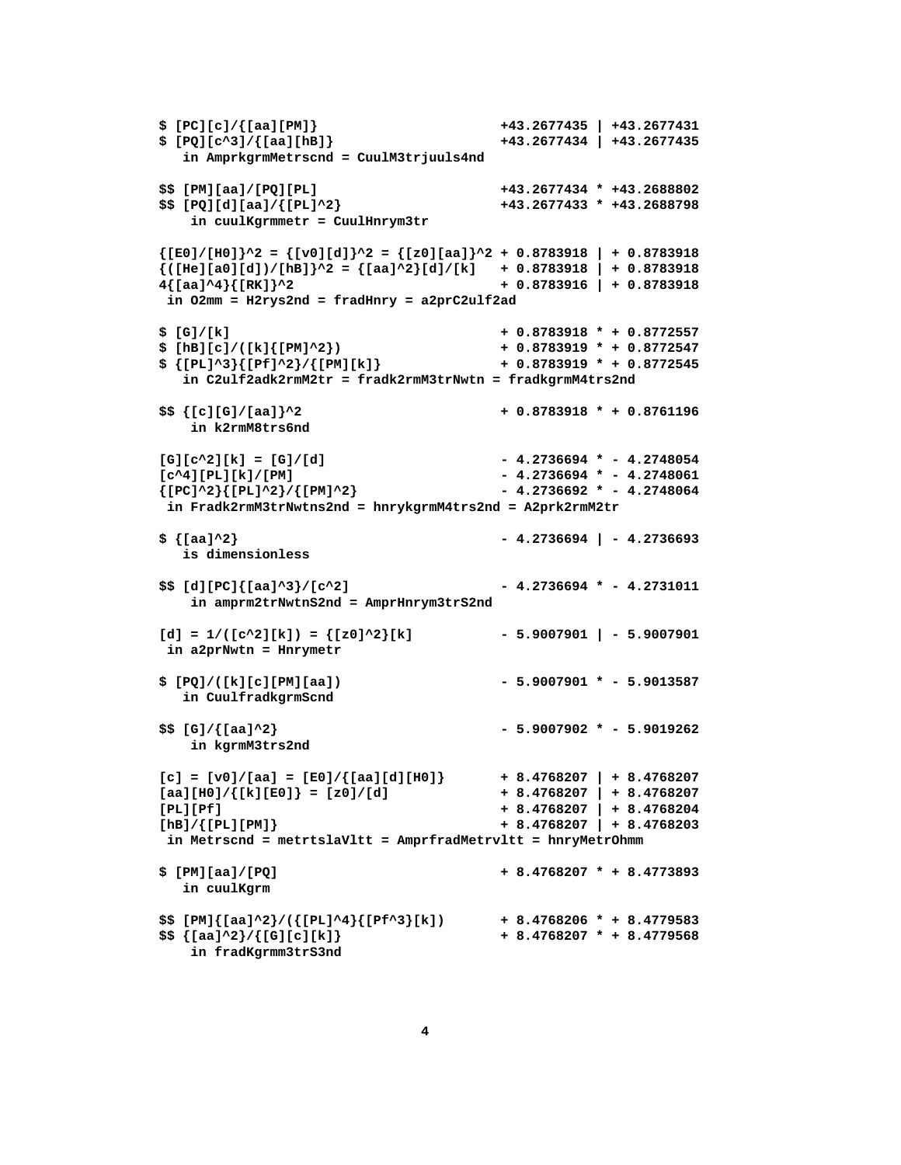```
$ [PC][c]/{[aa][PM]} +43.2677435 | +43.2677431 
$ [PQ][c^3]/{[aa][hB]} +43.2677434 | +43.2677435 
   in AmprkgrmMetrscnd = CuulM3trjuuls4nd 
$$ [PM][aa]/[PQ][PL] +43.2677434 * +43.2688802 
$$ [PQ][d][aa]/{[PL]^2} +43.2677433 * +43.2688798 
    in cuulKgrmmetr = CuulHnrym3tr 
{[E0]/[H0]}^2 = {[v0][d]}^2 = {[z0][aa]}^2 + 0.8783918 | + 0.8783918 
\{([He][a0][d])/[hb]\}^{\wedge}2 = \{[aa]^{\wedge}2\}[d]/[k] + 0.8783918 + 0.87839184{[aa]^4}{[RK]}^2 + 0.8783916 | + 0.8783918 
 in O2mm = H2rys2nd = fradHnry = a2prC2ulf2ad 
$ [G]/[k] + 0.8783918 * + 0.8772557 
$ [hB][c]/([k]{[PM]^2}) + 0.8783919 * + 0.8772547 
$ {[PL]^3}{[Pf]^2}/{[PM][k]} + 0.8783919 * + 0.8772545 
   in C2ulf2adk2rmM2tr = fradk2rmM3trNwtn = fradkgrmM4trs2nd 
$$ {[c][G]/[aa]}^2 + 0.8783918 * + 0.8761196 
    in k2rmM8trs6nd 
[G][c^2][k] = [G]/[d] - 4.2736694 * - 4.2748054
[c^4][PL][k]/[PM] - 4.2736694 * - 4.2748061 
{[PC]^22}{[PL]^22}/{[PM]^2} - 4.2736692 * - 4.2748064
 in Fradk2rmM3trNwtns2nd = hnrykgrmM4trs2nd = A2prk2rmM2tr 
$ {[aa]^2} - 4.2736694 | - 4.2736693 
   is dimensionless 
$$ [d][PC]{[aa]^3}/[c^2] - 4.2736694 * - 4.2731011
    in amprm2trNwtnS2nd = AmprHnrym3trS2nd 
[d] = 1/([c^2][k]) = { [z0]^2}{k} in a2prNwtn = Hnrymetr 
$ [PQ]/([k][c][PM][aa]) - 5.9007901 * - 5.9013587 
   in CuulfradkgrmScnd 
$$ [G]/{[aa]^2} - 5.9007902 * - 5.9019262 
    in kgrmM3trs2nd 
[c] = [v0]/[aa] = [E0]/[aa][d][H0] + 8.4768207 | + 8.4768207
[aa][H0]/([k][E0]] = [z0]/[d] + 8.4768207 + 8.4768207
[PL][Pf] + 8.4768207 | + 8.4768204 
[hB]/{[PL][PM]} + 8.4768207 | + 8.4768203 
 in Metrscnd = metrtslaVltt = AmprfradMetrvltt = hnryMetrOhmm 
$ [PM][aa]/[PQ] + 8.4768207 * + 8.4773893 
   in cuulKgrm 
$$ [PM]{[aa]^2}/({[PL]^4}{[Pf^3}[k]) + 8.4768206 * + 8.4779583 
$$ {[aa]^2}/{[G][c][k]} + 8.4768207 * + 8.4779568 
    in fradKgrmm3trS3nd
```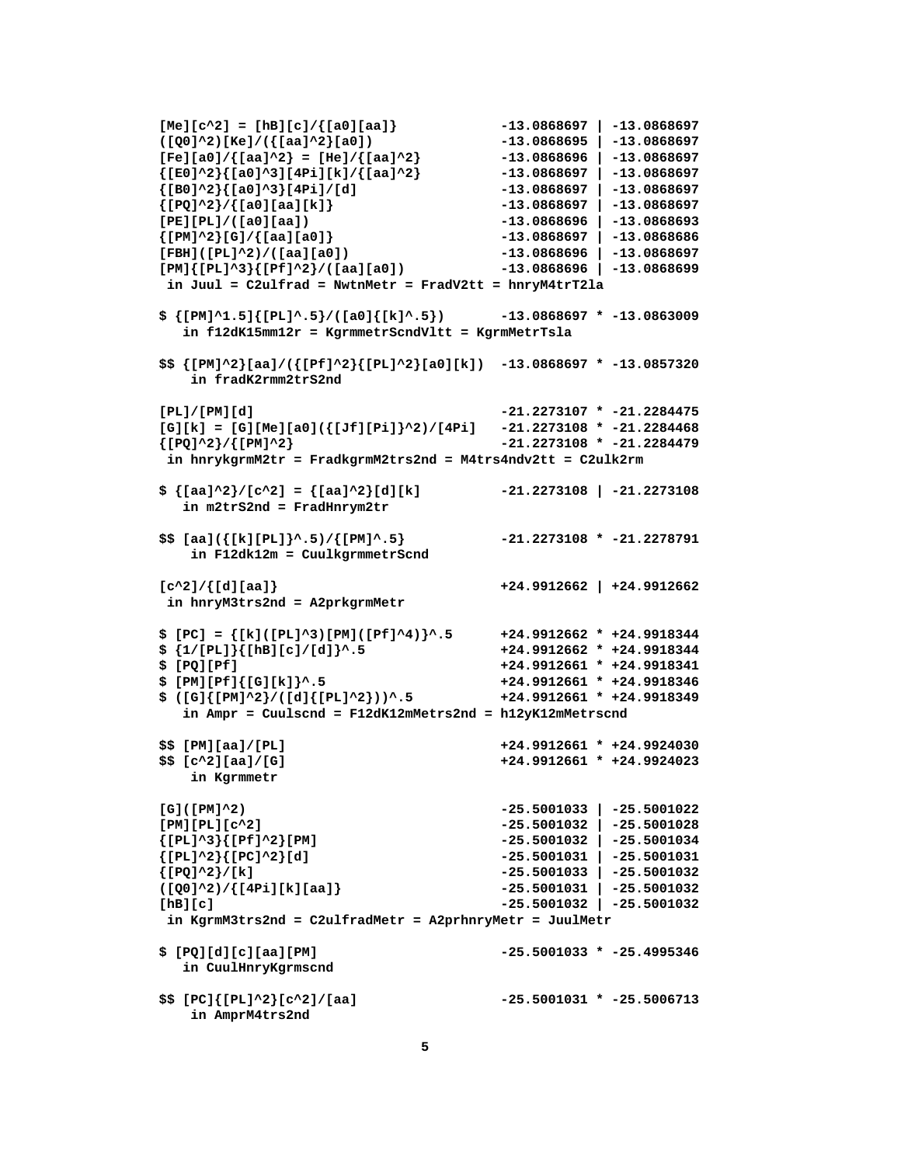```
[Me][c^2] = [hB][c]/\{[a0][aa]\}[\text{Me}][c^2] = [\text{h}B][c]/\{[a0][aa]\} -13.0868697 | -13.0868697 <br>([Q0]^2)[Ke]/({[aa]^2}[a0]) -13.0868695 | -13.0868697
[Fe][a0]/{[aa]^2} = [He]/{[aa]^2} -13.0868696 | -13.0868697 
{[E0]^2}{[a0]^3][4Pi][k]/{[aa]^2} -13.0868697 | -13.0868697 
{[B0]^2}{[a0]^3}[4Pi]/[d] -13.0868697 | -13.0868697 
{[PQ]^2}/{[a0][aa][k]} -13.0868697 | -13.0868697 
[PE][PL]/([a0][aa]) -13.0868696 | -13.0868693 
{[PM]^2}[G]/{[aa][a0]} -13.0868697 | -13.0868686 
[FBH]([PL]^2)/([aa][a0]) -13.0868696 | -13.0868697 
[PM]{[PL]^3}{[Pf]^2}/([aa][a0]) -13.0868696 | -13.0868699 
 in Juul = C2ulfrad = NwtnMetr = FradV2tt = hnryM4trT2la 
$ {[PM]^1.5]{[PL]^.5}/([a0]{[k]^.5}) -13.0868697 * -13.0863009 
   in f12dK15mm12r = KgrmmetrScndVltt = KgrmMetrTsla 
$$ {[PM]^2}[aa]/({[Pf]^2}{[PL]^2}[a0][k]) -13.0868697 * -13.0857320 
    in fradK2rmm2trS2nd 
[PL]/[PM][d] -21.2273107 * -21.2284475 
[G][k] = [G][Me][a0]({[Jf][Pi]}^2)/[4Pi] -21.2273108 * -21.2284468 
{[PQ]^2}/{[PM]^2} -21.2273108 * -21.2284479 
 in hnrykgrmM2tr = FradkgrmM2trs2nd = M4trs4ndv2tt = C2ulk2rm 
$ {[aa]^2}/[c^2] = {[aa]^2}[d][k] -21.2273108 | -21.2273108 
   in m2trS2nd = FradHnrym2tr 
$$ [aa]({[k][PL]}\text{-}5)/{[PM}\text{-}5] -21.2273108 * -21.2278791
    in F12dk12m = CuulkgrmmetrScnd 
[c^2]/{[d][aa]} +24.9912662 | +24.9912662 
 in hnryM3trs2nd = A2prkgrmMetr 
$ [PC] = {[k]([PL]^3)[PM]([Pf]^4)}^.5 +24.9912662 * +24.9918344 
$ {1/[PL]}{[hB][c]/[d]}^.5 +24.9912662 * +24.9918344 
$ [PQ][Pf] +24.9912661 * +24.9918341 
$ [PM][Pf]{[G][k]}^.5 +24.9912661 * +24.9918346 
$ ([G]{[PM]^2}/([d]{[PL]^2}))^.5 +24.9912661 * +24.9918349 
   in Ampr = Cuulscnd = F12dK12mMetrs2nd = h12yK12mMetrscnd 
$$ [PM][aa]/[PL] +24.9912661 * +24.9924030 
$$ [c^2][aa]/[G] +24.9912661 * +24.9924023 
    in Kgrmmetr 
[G]([PM]^2) -25.5001033 | -25.5001022 
[PM][PL][c^2] -25.5001032 | -25.5001028 
{[PL]^3}{[Pf]^2}[PM] -25.5001032 | -25.5001034 
{[PL]^2}{[PC]^2}[d] -25.5001031 | -25.5001031 
{[PQ]^2}/[k] -25.5001033 | -25.5001032 
([Q0]^2)/{[4Pi][k][aa]} -25.5001031 | -25.5001032 
[hB][c] -25.5001032 | -25.5001032 
 in KgrmM3trs2nd = C2ulfradMetr = A2prhnryMetr = JuulMetr 
$ [PQ][d][c][aa][PM] -25.5001033 * -25.4995346 
   in CuulHnryKgrmscnd 
$$ [PC]{[PL]^2}[c^2]/[aa] -25.5001031 * -25.5006713 
    in AmprM4trs2nd
```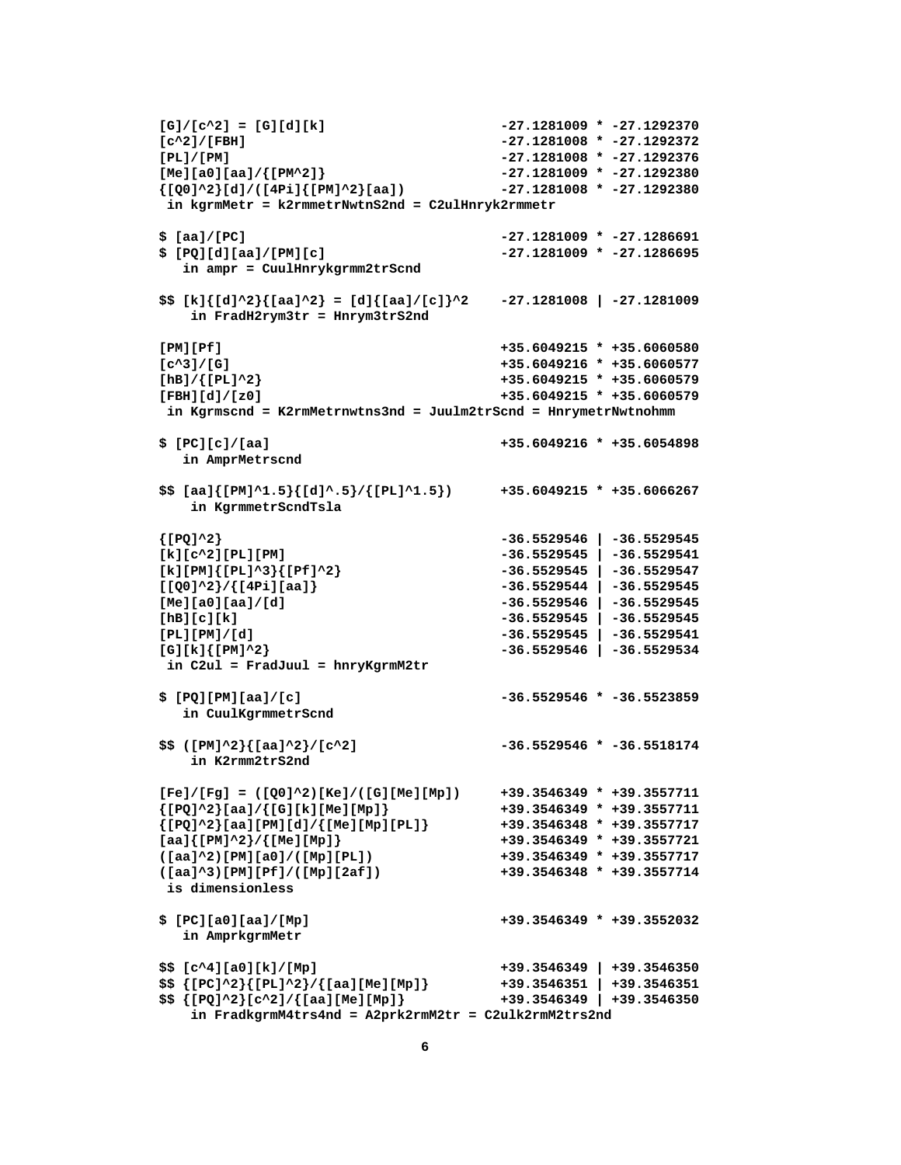```
[G]/[c^2] = [G][d][k] -27.1281009 * -27.1292370 
[c^2]/[FBH] -27.1281008 * -27.1292372 
[PL]/[PM] -27.1281008 * -27.1292376 
[Me][a0][aa]/{[PM^2]} -27.1281009 * -27.1292380 
\{[Q0]^2 \}[d]/([4P_i][PM]^2[aa]) -27.1281008 * -27.1292380
 in kgrmMetr = k2rmmetrNwtnS2nd = C2ulHnryk2rmmetr 
$ [aa]/[PC] -27.1281009 * -27.1286691 
$ [PQ][d][aa]/[PM][c] -27.1281009 * -27.1286695 
   in ampr = CuulHnrykgrmm2trScnd 
$$ [k]{[d]^2}{[aa]^2} = [d]{[aa]/[c]}^2 -27.1281008 | -27.1281009 
   in FradH2rym3tr = Hnrym3trS2nd 
[PM][Pf] +35.6049215 * +35.6060580 
[c^3]/[G] +35.6049216 * +35.6060577 
[hB]/{[PL]^2} +35.6049215 * +35.6060579 
[FBH][d]/[z0] +35.6049215 * +35.6060579 
 in Kgrmscnd = K2rmMetrnwtns3nd = Juulm2trScnd = HnrymetrNwtnohmm 
$ [PC][c]/[aa] +35.6049216 * +35.6054898 
   in AmprMetrscnd 
$$ [aa]{[PM]^1.5}{[d]^.5}/{[PL]^1.5}) +35.6049215 * +35.6066267 
    in KgrmmetrScndTsla 
{[PQ]^2} -36.5529546 | -36.5529545 
[k][c^2][PL][PM] -36.5529545 | -36.5529541 
[k][PM]{[PL]^3}{[Pf]^2} -36.5529545 | -36.5529547 
[[Q0]^2}/{[4Pi][aa]} -36.5529544 | -36.5529545 
[Me][a0][aa]/[d] -36.5529546 | -36.5529545 
[hB][c][k] -36.5529545 | -36.5529545 
[PL][PM]/[d] -36.5529545 | -36.5529541 
[G][k]{[PM]^2} -36.5529546 | -36.5529534 
 in C2ul = FradJuul = hnryKgrmM2tr 
$ [PQ][PM][aa]/[c] -36.5529546 * -36.5523859 
   in CuulKgrmmetrScnd 
$$ ([PM]^2}{[aa]^2}/[c^2] -36.5529546 * -36.5518174 
   in K2rmm2trS2nd 
[Fe]/[Fg] = ([Q0]^2)[Ke]/([G][Me][Mp]) +39.3546349 * +39.3557711 
{[PQ]^2}_2[aa]/{[G][k][Me][Mp]} +39.3546349 * +39.3557711
{[PQ]^22}[aa][PM][d]/{[Me][Mp][PL]} +39.3546348 * +39.3557717
[aa]{[PM]^2}/{[Me][Mp]} +39.3546349 * +39.3557721 
([aa]^2)[PM][a0]/([Mp][PL]) +39.3546349 * +39.3557717 
([aa]^3)[PM][Pf]/([Mp][2af]) +39.3546348 * +39.3557714 
 is dimensionless 
$ [PC][a0][aa]/[Mp] +39.3546349 * +39.3552032 
   in AmprkgrmMetr 
$$ [c^4][a0][k]/[Mp] +39.3546349 | +39.3546350 
$$ {[PC]^2}{[PL]^2}/{[aa][Me][Mp]} +39.3546351 | +39.3546351 
$$ {[PQ]^2}[c^2]/{[aa][Me][Mp]} +39.3546349 | +39.3546350 
    in FradkgrmM4trs4nd = A2prk2rmM2tr = C2ulk2rmM2trs2nd
```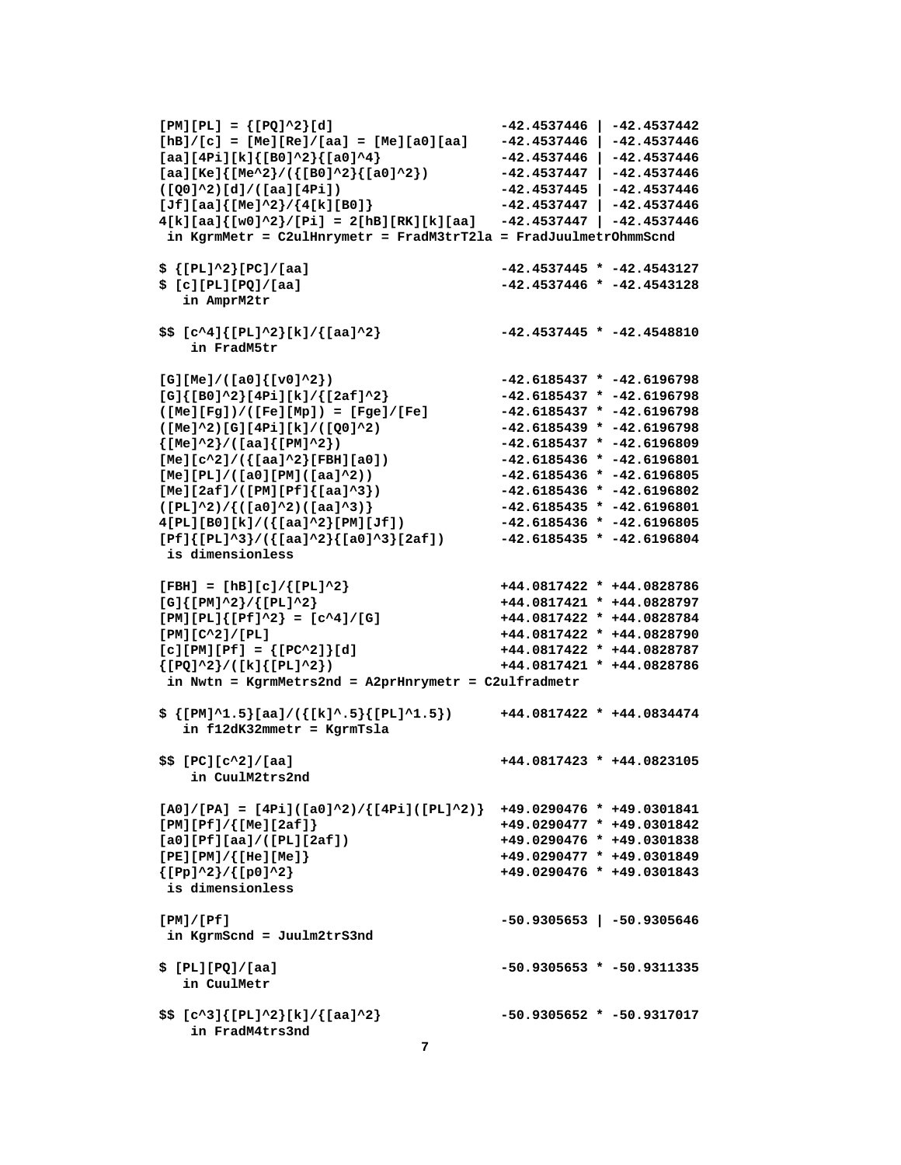```
[PM][PL] = {[PQ]^2}[d] -42.4537446 | -42.4537442 
[hB]/[c] = [Me][Re]/[aa] = [Me][a0][aa] -42.4537446 | -42.4537446 
[aa][4Pi][k]{[B0]^2}{[a0]^4} -42.4537446 | -42.4537446 
[aa][Ke]{[Me^2}/({[B0]^2}{[a0]^2}) -42.4537447 | -42.4537446 
([Q0]^2)[d]/([aa][4Pi]) -42.4537445 | -42.4537446 
[Jf][aa]{[Me]^2}/{4[k][B0]} -42.4537447 | -42.4537446 
4[k][aa]{[w0]^2}/[Pi] = 2[hB][RK][k][aa] -42.4537447 | -42.4537446 
 in KgrmMetr = C2ulHnrymetr = FradM3trT2la = FradJuulmetrOhmmScnd 
$ {[PL]^2}[PC]/[aa] -42.4537445 * -42.4543127 
$ [c][PL][PQ]/[aa] -42.4537446 * -42.4543128 
   in AmprM2tr 
$$ [c^4]{[PL]^2}[k]/{[aa]^2} -42.4537445 * -42.4548810 
    in FradM5tr 
[G][Me]/([a0]{[v0]^2}) -42.6185437 * -42.6196798 
[G]{[B0]^2}[4Pi][k]/{[2af]^2} -42.6185437 * -42.6196798 
([Me][Fg])/([Fe][Mp]) = [Fge]/[Fe] -42.6185437 * -42.6196798 
([Me]^2)[G][4Pi][k]/([Q0]^2) -42.6185439 * -42.6196798 
{[Me]^2}/([aa]{[PM]^2}) -42.6185437 * -42.6196809 
[Me][c^2]/({[aa]^2}[FBH][a0]) -42.6185436 * -42.6196801 
[Me][PL]/([a0][PM]([aa]^2)) -42.6185436 * -42.6196805 
[Me][2af]/([PM][Pf]{[aa]^3}) -42.6185436 * -42.6196802 
([PL]^2)/{([a0]^2)([aa]^3)} -42.6185435 * -42.6196801 
4[PL][B0][k]/({[aa]^2}[PM][Jf]) -42.6185436 * -42.6196805 
[Pf]{[PL]^3}/({[aa]^2}{[a0]^3}[2af]) -42.6185435 * -42.6196804 
 is dimensionless 
[FBH] = [hB][c]/{[PL]^2} +44.0817422 * +44.0828786 
[G]{\text{[PM]}^2}/{\text{[PL]}^2} +44.0817421 * +44.0828797<br>[PM][PL]{\text{[PL]}^2} = [c^4]/[G] +44.0817422 * +44.0828784
[PM][PL]{[P^L]^{2} = [c^{4}/4]/[G]}[PM][C^2]/[PL] +44.0817422 * +44.0828790 
[c][PM][Pf] = {[PC^2]}[d] +44.0817422 * +44.0828787 
{[PQ]^2}/([k]{[PL]^2}) +44.0817421 * +44.0828786 
 in Nwtn = KgrmMetrs2nd = A2prHnrymetr = C2ulfradmetr 
$ {[PM]^1.5}[aa]/({[k]^.5}{[PL]^1.5}) +44.0817422 * +44.0834474 
   in f12dK32mmetr = KgrmTsla 
$$ [PC][c^2]/[aa] +44.0817423 * +44.0823105 
    in CuulM2trs2nd 
[A0]/[PA] = [4Pi]([a0]^2)/{[4Pi]([PL]^2)} +49.0290476 * +49.0301841 
[PM][Pf]/{[Me][2af]} +49.0290477 * +49.0301842 
[a0][Pf][aa]/([PL][2af]) +49.0290476 * +49.0301838 
[PE][PM]/{[He][Me]} +49.0290477 * +49.0301849 
{[Pp]^2}/{[p0]^2} +49.0290476 * +49.0301843 
 is dimensionless 
[PM]/[Pf] -50.9305653 | -50.9305646 
 in KgrmScnd = Juulm2trS3nd 
$ [PL][PQ]/[aa] -50.9305653 * -50.9311335 
   in CuulMetr 
$$ [c^3]{[PL]^2}[k]/{[aa]^2} -50.9305652 * -50.9317017
```
 **in FradM4trs3nd**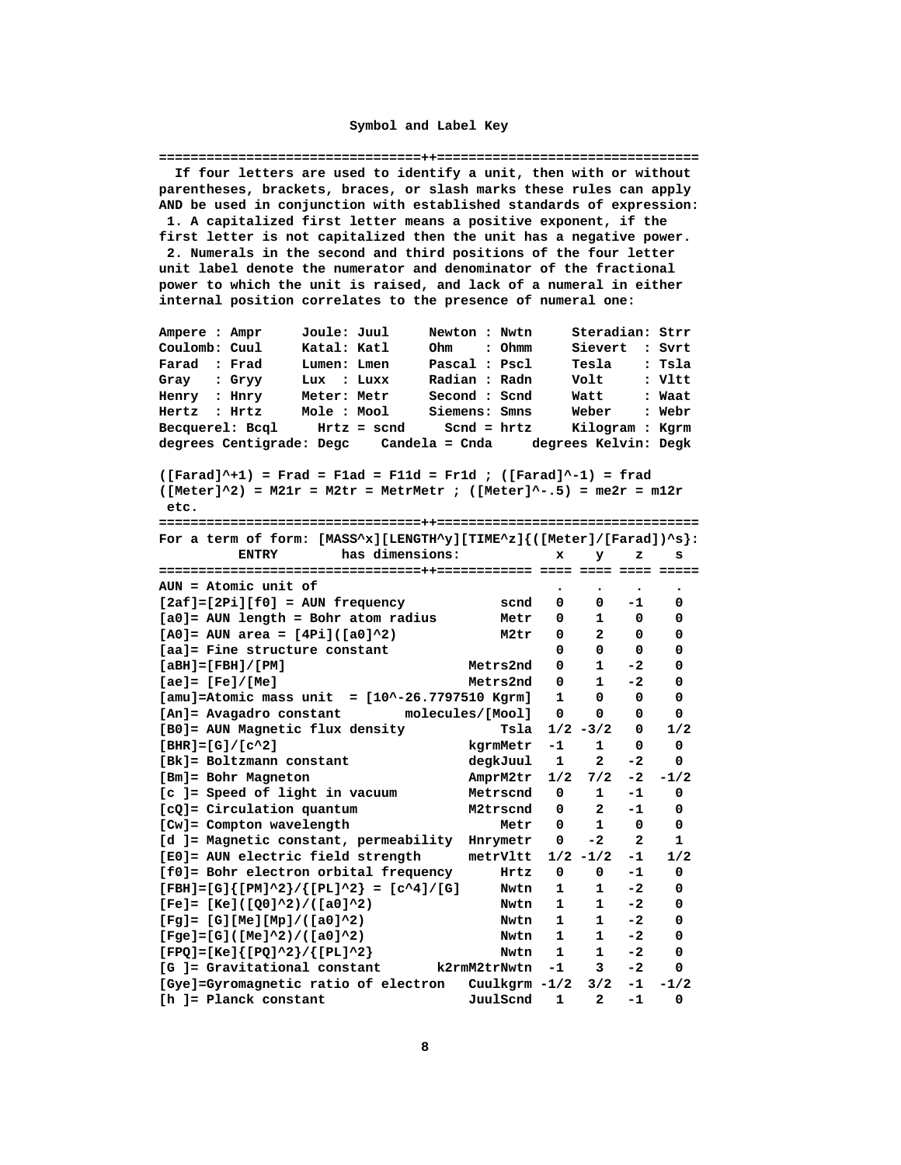#### Symbol and Label Key

<span id="page-7-0"></span>If four letters are used to identify a unit, then with or without parentheses, brackets, braces, or slash marks these rules can apply AND be used in conjunction with established standards of expression: 1. A capitalized first letter means a positive exponent, if the first letter is not capitalized then the unit has a negative power. 2. Numerals in the second and third positions of the four letter unit label denote the numerator and denominator of the fractional power to which the unit is raised, and lack of a numeral in either internal position correlates to the presence of numeral one: Newton : Nwtn Ampere : Ampr Joule: Juul Steradian: Strr Katal: Katl Coulomb: Cuul Ohm : Ohmm Sievert : Svrt Lumen: Lmen Pascal : Pscl Farad : Frad Tesla : Tsla  $Lux : Luxx$ Gray : Gryy Radian : Radn Volt : Vltt Second : Scnd<br>C Henry : Hnry Meter: Metr Watt : Waat Siemens: Smns Mole : Mool Weber Hertz : Hrtz : Webr Weber . ....<br>Kilogram : Kgrm  $Hrtz = send$  Scnd =  $hrtz$ Becquerel: Bcql degrees Centigrade: Degc Candela = Cnda degrees Kelvin: Degk  $(\text{Farad}^+1)$  = Frad = Flad = Fl1d = Fr1d ;  $(\text{Farad}^+1)$  = frad  $([Meter]<sup>2</sup>)$  = M21r = M2tr = MetrMetr ;  $([Meter]<sup>2</sup>-.5)$  = me2r = m12r etc. For a term of form: [MASS^x][LENGTH^y][TIME^z]{([Meter]/[Farad])^s}: ENTRY has dimensions: x y z s AUN = Atomic unit of  $[2af]=[2Pi][f0] = AUN frequency$ scnd 0  $0 - 1$  $\Omega$  $[a0]$  = AUN length = Bohr atom radius Metr 0 1  $\overline{0}$  $\Omega$ M2tr 0 2 0  $[AO] = AUN area = [4Pi]([a0]^2)$  $\Omega$  $0\qquad 0\qquad 0$ [aa]= Fine structure constant - 0 Metrs2nd 0  $\mathbf{1}$  $[ABH] = [FBH]/[PM]$  $-2$  $\mathbf{o}$ Metrs2nd 0  $[ae] = [Fe]/[Me]$  $\mathbf{1}$  $-2$  $\mathbf{o}$  $[amu] =$ Atomic mass unit =  $[10^x - 26.7797510$  Kgrm $]$  1 0  $\overline{\mathbf{0}}$  $\mathbf{0}$ [An]= Avagadro constant molecules/[Mool]  $\overline{\mathbf{0}}$  $\overline{\mathbf{0}}$  $\mathbf 0$  $\mathbf{o}$ Tsla  $1/2 - 3/2 = 0$ [B0]= AUN Magnetic flux density  $1/2$  $\overline{\mathbf{0}}$  $[BHR]=[G]/[c^2]$ kgrmMetr -1 1  $\mathbf{0}$ [Bk]= Boltzmann constant degkJuul 1  $\overline{2}$  $-2$  $\Omega$ [Bm]= Bohr Magneton AmprM2tr 1/2 7/2 -2 -1/2 [c ]= Speed of light in vacuum Metrscnd  $0$  1 -1  $\overline{0}$ M2trscnd 0  $2 - 1$ [cQ]= Circulation quantum  $\Omega$ [Cw]= Compton wavelength Metr 0 1 0  $\overline{\mathbf{0}}$ [d ]= Magnetic constant, permeability Hnrymetr 0 -2  $\overline{2}$  $\mathbf{1}$ metrVltt  $1/2$  -1/2 -1  $1/2$ [E0]= AUN electric field strength [f0]= Bohr electron orbital frequency  $Hrtz$  0 0  $-1$  $\overline{\mathbf{0}}$  $[FBH]=[G]{[PM]^2}/{[PL]^2} = [c^4]/[G]$ Nwtn 1 1 -2  $\overline{\mathbf{0}}$  $[Fe] = [Ke] ([Q0]^{2}/([a0]^{2})$ Nwtn 1 1  $-2$  $\overline{\mathbf{0}}$  $[Fg] = [G][Me][Mp]/([a0]^2)$ Nwtn 1 1  $-2$  $\Omega$  $[Fge]=[G] ([Me]^2)/([a0]^2)$ Nwtn 1 1  $-2$  $\Omega$  $[FPQ] = [Ke]{[PQ]^{2}}/{[PL]^{2}}$ Nwtn 1 1  $-2$  $\overline{0}$  $\Omega$ [Gye]=Gyromagnetic ratio of electron Cuulkgrm -1/2 3/2 -1 -1/2 JuulScnd 1 2 -1 [h ]= Planck constant  $\Omega$